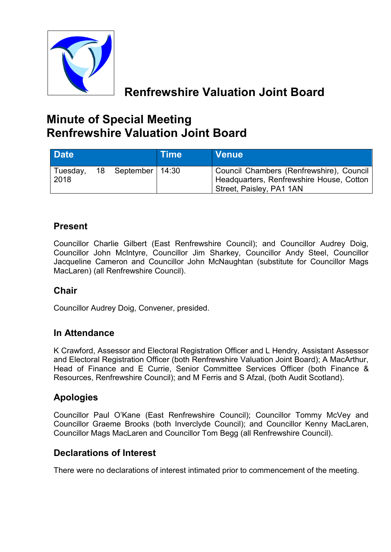

# **Renfrewshire Valuation Joint Board**

# **Minute of Special Meeting Renfrewshire Valuation Joint Board**

| <b>Date</b>      |                      | <b>Time</b> | <b>Venue</b>                                                                                                     |
|------------------|----------------------|-------------|------------------------------------------------------------------------------------------------------------------|
| Tuesday,<br>2018 | 18 September   14:30 |             | Council Chambers (Renfrewshire), Council<br>Headquarters, Renfrewshire House, Cotton<br>Street, Paisley, PA1 1AN |

### **Present**

Councillor Charlie Gilbert (East Renfrewshire Council); and Councillor Audrey Doig, Councillor John McIntyre, Councillor Jim Sharkey, Councillor Andy Steel, Councillor Jacqueline Cameron and Councillor John McNaughtan (substitute for Councillor Mags MacLaren) (all Renfrewshire Council).

### **Chair**

Councillor Audrey Doig, Convener, presided.

### **In Attendance**

K Crawford, Assessor and Electoral Registration Officer and L Hendry, Assistant Assessor and Electoral Registration Officer (both Renfrewshire Valuation Joint Board); A MacArthur, Head of Finance and E Currie, Senior Committee Services Officer (both Finance & Resources, Renfrewshire Council); and M Ferris and S Afzal, (both Audit Scotland).

### **Apologies**

Councillor Paul O'Kane (East Renfrewshire Council); Councillor Tommy McVey and Councillor Graeme Brooks (both Inverclyde Council); and Councillor Kenny MacLaren, Councillor Mags MacLaren and Councillor Tom Begg (all Renfrewshire Council).

### **Declarations of Interest**

There were no declarations of interest intimated prior to commencement of the meeting.